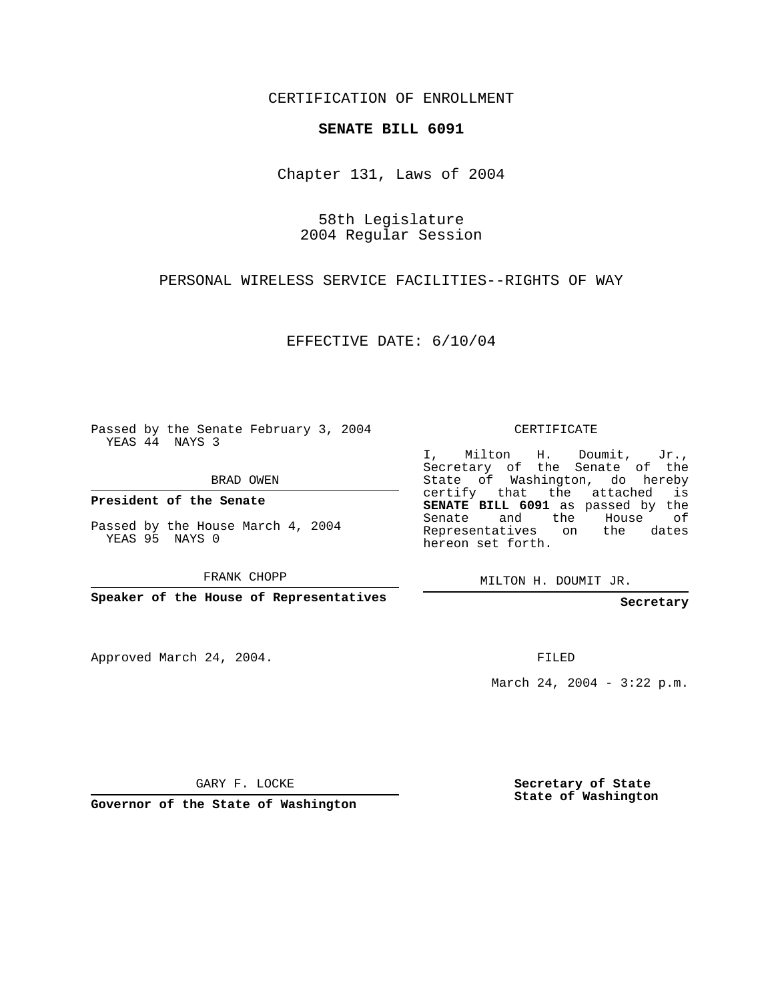CERTIFICATION OF ENROLLMENT

## **SENATE BILL 6091**

Chapter 131, Laws of 2004

58th Legislature 2004 Regular Session

PERSONAL WIRELESS SERVICE FACILITIES--RIGHTS OF WAY

EFFECTIVE DATE: 6/10/04

Passed by the Senate February 3, 2004 YEAS 44 NAYS 3

BRAD OWEN

**President of the Senate**

Passed by the House March 4, 2004 YEAS 95 NAYS 0

FRANK CHOPP

**Speaker of the House of Representatives**

Approved March 24, 2004.

CERTIFICATE

I, Milton H. Doumit, Jr., Secretary of the Senate of the State of Washington, do hereby certify that the attached is **SENATE BILL 6091** as passed by the Senate and the House of Representatives on the dates hereon set forth.

MILTON H. DOUMIT JR.

**Secretary**

FILED

March 24, 2004 - 3:22 p.m.

GARY F. LOCKE

**Governor of the State of Washington**

**Secretary of State State of Washington**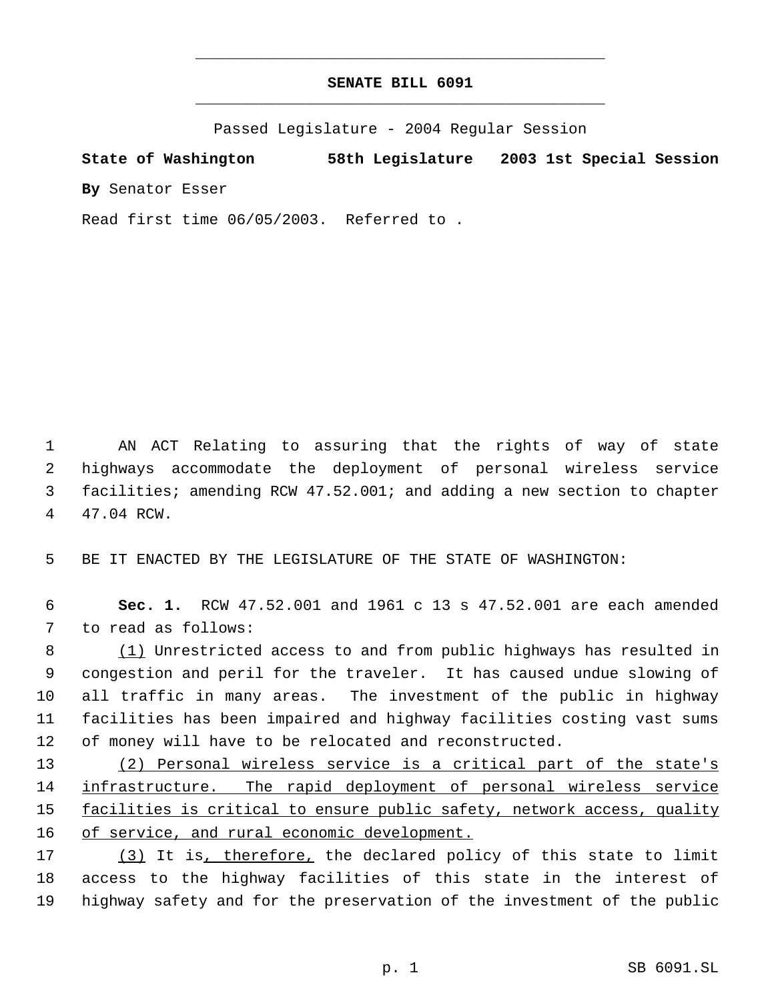## **SENATE BILL 6091** \_\_\_\_\_\_\_\_\_\_\_\_\_\_\_\_\_\_\_\_\_\_\_\_\_\_\_\_\_\_\_\_\_\_\_\_\_\_\_\_\_\_\_\_\_

\_\_\_\_\_\_\_\_\_\_\_\_\_\_\_\_\_\_\_\_\_\_\_\_\_\_\_\_\_\_\_\_\_\_\_\_\_\_\_\_\_\_\_\_\_

Passed Legislature - 2004 Regular Session

**State of Washington 58th Legislature 2003 1st Special Session By** Senator Esser

Read first time 06/05/2003. Referred to .

 AN ACT Relating to assuring that the rights of way of state highways accommodate the deployment of personal wireless service facilities; amending RCW 47.52.001; and adding a new section to chapter 47.04 RCW.

BE IT ENACTED BY THE LEGISLATURE OF THE STATE OF WASHINGTON:

 **Sec. 1.** RCW 47.52.001 and 1961 c 13 s 47.52.001 are each amended to read as follows:

8 (1) Unrestricted access to and from public highways has resulted in congestion and peril for the traveler. It has caused undue slowing of all traffic in many areas. The investment of the public in highway facilities has been impaired and highway facilities costing vast sums of money will have to be relocated and reconstructed.

 (2) Personal wireless service is a critical part of the state's infrastructure. The rapid deployment of personal wireless service facilities is critical to ensure public safety, network access, quality of service, and rural economic development.

17 (3) It is, therefore, the declared policy of this state to limit access to the highway facilities of this state in the interest of highway safety and for the preservation of the investment of the public